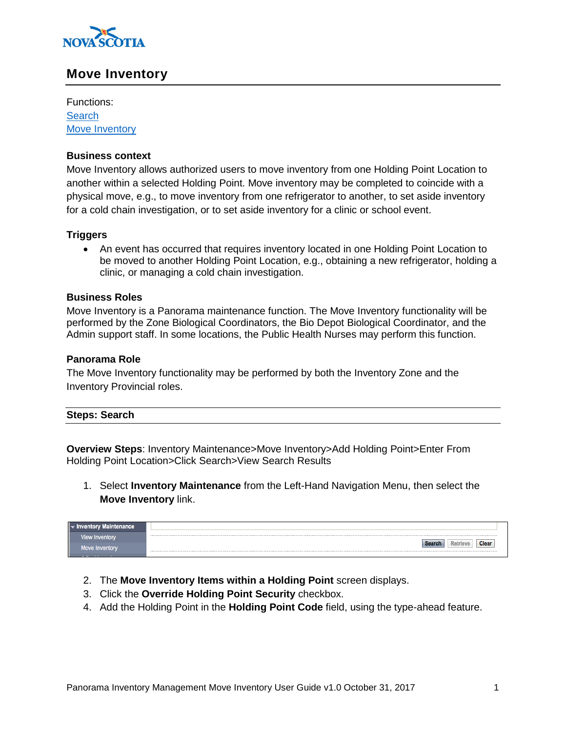

# **Move Inventory**

Functions: **[Search](#page-0-0)** [Move Inventory](#page-1-0)

# **Business context**

Move Inventory allows authorized users to move inventory from one Holding Point Location to another within a selected Holding Point. Move inventory may be completed to coincide with a physical move, e.g., to move inventory from one refrigerator to another, to set aside inventory for a cold chain investigation, or to set aside inventory for a clinic or school event.

# **Triggers**

 An event has occurred that requires inventory located in one Holding Point Location to be moved to another Holding Point Location, e.g., obtaining a new refrigerator, holding a clinic, or managing a cold chain investigation.

### **Business Roles**

Move Inventory is a Panorama maintenance function. The Move Inventory functionality will be performed by the Zone Biological Coordinators, the Bio Depot Biological Coordinator, and the Admin support staff. In some locations, the Public Health Nurses may perform this function.

#### **Panorama Role**

The Move Inventory functionality may be performed by both the Inventory Zone and the Inventory Provincial roles.

# <span id="page-0-0"></span>**Steps: Search**

**Overview Steps**: Inventory Maintenance>Move Inventory>Add Holding Point>Enter From Holding Point Location>Click Search>View Search Results

1. Select **Inventory Maintenance** from the Left-Hand Navigation Menu, then select the **Move Inventory** link.

| <b>Maintenance</b><br><b>Inventory</b> |                 |
|----------------------------------------|-----------------|
| view inventory                         |                 |
| love Inventory                         | Search<br>Clear |

- 2. The **Move Inventory Items within a Holding Point** screen displays.
- 3. Click the **Override Holding Point Security** checkbox.
- 4. Add the Holding Point in the **Holding Point Code** field, using the type-ahead feature.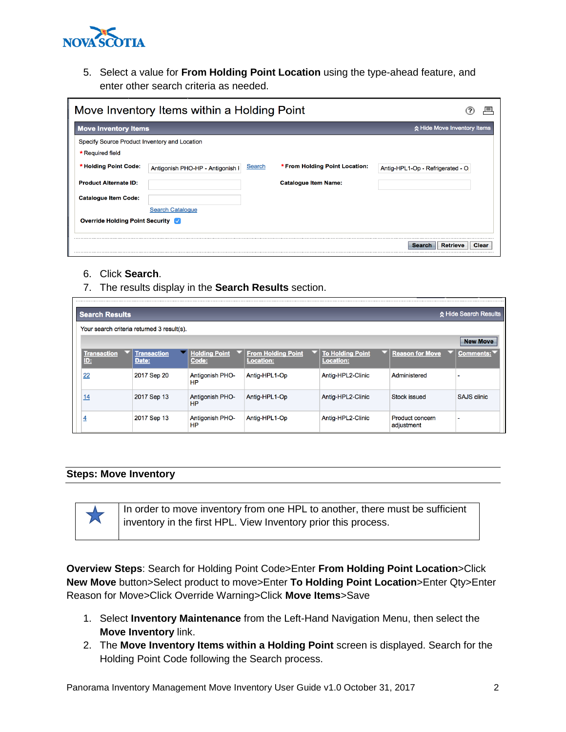

5. Select a value for **From Holding Point Location** using the type-ahead feature, and enter other search criteria as needed.

|                                                                   | Move Inventory Items within a Holding Point |        |                                |                                           |
|-------------------------------------------------------------------|---------------------------------------------|--------|--------------------------------|-------------------------------------------|
| <b>Move Inventory Items</b>                                       |                                             |        |                                | ☆ Hide Move Inventory Items               |
| Specify Source Product Inventory and Location<br>* Required field |                                             |        |                                |                                           |
| * Holding Point Code:                                             | Antigonish PHO-HP - Antigonish I            | Search | * From Holding Point Location: | Antig-HPL1-Op - Refrigerated - O          |
| <b>Product Alternate ID:</b>                                      |                                             |        | <b>Catalogue Item Name:</b>    |                                           |
| <b>Catalogue Item Code:</b>                                       |                                             |        |                                |                                           |
|                                                                   | <b>Search Catalogue</b>                     |        |                                |                                           |
| Override Holding Point Security                                   |                                             |        |                                |                                           |
|                                                                   |                                             |        |                                |                                           |
|                                                                   |                                             |        |                                | <b>Retrieve</b><br><b>Clear</b><br>Search |

- 6. Click **Search**.
- 7. The results display in the **Search Results** section.

| <b>Search Results</b>                      | Hide Search Results         |                               |                                               |                                             |                                      |                    |  |  |  |  |  |  |  |  |  |
|--------------------------------------------|-----------------------------|-------------------------------|-----------------------------------------------|---------------------------------------------|--------------------------------------|--------------------|--|--|--|--|--|--|--|--|--|
| Your search criteria returned 3 result(s). |                             |                               |                                               |                                             |                                      |                    |  |  |  |  |  |  |  |  |  |
| <b>New Move</b>                            |                             |                               |                                               |                                             |                                      |                    |  |  |  |  |  |  |  |  |  |
| <b>Transaction</b><br><u>ID:</u>           | <b>Transaction</b><br>Date: | <b>Holding Point</b><br>Code: | <b>From Holding Point</b><br><b>Location:</b> | <b>To Holding Point</b><br><b>Location:</b> | $\blacktriangledown$ Reason for Move | <b>Comments:</b>   |  |  |  |  |  |  |  |  |  |
| 22                                         | 2017 Sep 20                 | <b>Antigonish PHO-</b><br>HP  | Antig-HPL1-Op                                 | Antig-HPL2-Clinic                           | Administered                         |                    |  |  |  |  |  |  |  |  |  |
| 14                                         | 2017 Sep 13                 | Antigonish PHO-<br><b>HP</b>  | Antig-HPL1-Op                                 | Antig-HPL2-Clinic                           | <b>Stock issued</b>                  | <b>SAJS clinic</b> |  |  |  |  |  |  |  |  |  |
| 4                                          | 2017 Sep 13                 | Antigonish PHO-<br>HP         | Antig-HPL1-Op                                 | Antig-HPL2-Clinic                           | Product concern<br>adjustment        | н.                 |  |  |  |  |  |  |  |  |  |

#### <span id="page-1-0"></span>**Steps: Move Inventory**

In order to move inventory from one HPL to another, there must be sufficient inventory in the first HPL. View Inventory prior this process.

**Overview Steps**: Search for Holding Point Code>Enter **From Holding Point Location**>Click **New Move** button>Select product to move>Enter **To Holding Point Location**>Enter Qty>Enter Reason for Move>Click Override Warning>Click **Move Items**>Save

- 1. Select **Inventory Maintenance** from the Left-Hand Navigation Menu, then select the **Move Inventory** link.
- 2. The **Move Inventory Items within a Holding Point** screen is displayed. Search for the Holding Point Code following the Search process.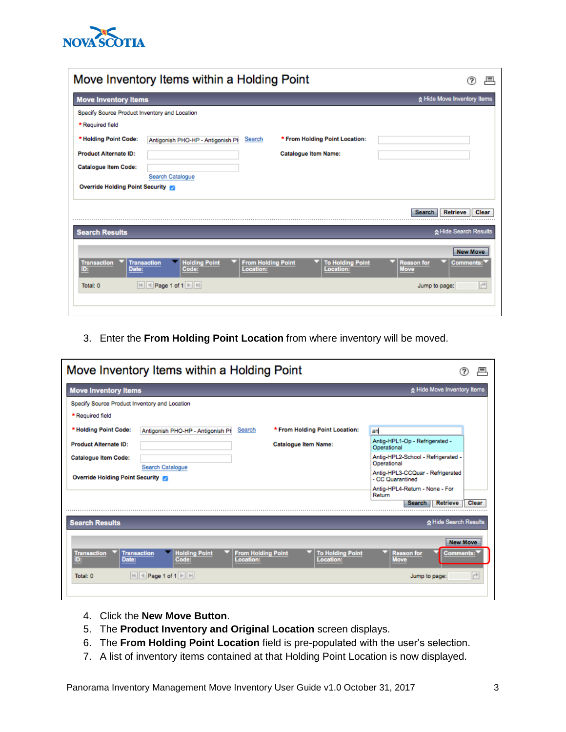

| Move Inventory Items within a Holding Point                                                                                                                                                                                         | 且               |
|-------------------------------------------------------------------------------------------------------------------------------------------------------------------------------------------------------------------------------------|-----------------|
| Move Inventory Items<br><b>Move Inventory Items</b>                                                                                                                                                                                 |                 |
| Specify Source Product Inventory and Location                                                                                                                                                                                       |                 |
| * Required field                                                                                                                                                                                                                    |                 |
| * Holding Point Code:<br>* From Holding Point Location:<br>Search<br>Antigonish PHO-HP - Antigonish PH                                                                                                                              |                 |
| <b>Product Alternate ID:</b><br><b>Catalogue Item Name:</b>                                                                                                                                                                         |                 |
| <b>Catalogue Item Code:</b>                                                                                                                                                                                                         |                 |
| Search Catalogue<br><b>Override Holding Point Security @1</b>                                                                                                                                                                       |                 |
| <b>Retrieve</b><br><b>Search</b>                                                                                                                                                                                                    | Clear           |
| Hide Search Results<br><b>Search Results</b>                                                                                                                                                                                        |                 |
|                                                                                                                                                                                                                                     | <b>New Move</b> |
| <b>From Holding Point</b><br><b>Holding Point</b><br><b>To Holding Point</b><br><b>Reason for</b><br><b>Transaction</b><br><b>Comments:</b><br><b>Transaction</b><br>Location:<br>Location:<br><b>Move</b><br>ID:<br>Date:<br>Code: |                 |
| $\parallel$ Page 1 of 1 $\parallel$ $\parallel$<br> A <br>Total: 0<br>Jump to page:                                                                                                                                                 | P               |
|                                                                                                                                                                                                                                     |                 |

3. Enter the **From Holding Point Location** from where inventory will be moved.

|                                                                      | Move Inventory Items within a Holding Point                              |                                                                   | ▣                                                                                                                                                    |
|----------------------------------------------------------------------|--------------------------------------------------------------------------|-------------------------------------------------------------------|------------------------------------------------------------------------------------------------------------------------------------------------------|
| <b>Move Inventory Items</b>                                          |                                                                          |                                                                   | Move Inventory Items                                                                                                                                 |
| Specify Source Product Inventory and Location<br>* Required field    |                                                                          |                                                                   |                                                                                                                                                      |
| * Holding Point Code:                                                | Search<br>Antigonish PHO-HP - Antigonish PH                              | * From Holding Point Location:                                    | an                                                                                                                                                   |
| <b>Product Alternate ID:</b>                                         |                                                                          | <b>Catalogue Item Name:</b>                                       | Antig-HPL1-Op - Refrigerated -<br>Operational                                                                                                        |
| <b>Catalogue Item Code:</b>                                          |                                                                          |                                                                   | Antig-HPL2-School - Refrigerated -<br>Operational                                                                                                    |
| <b>Override Holding Point Security #3</b>                            | Search Catalogue                                                         |                                                                   | Antig-HPL3-CCQuar - Refrigerated<br>- CC Quarantined<br>Antig-HPL4-Return - None - For<br>Return<br><b>Clear</b><br><b>Retrieve</b><br><b>Search</b> |
| <b>Search Results</b>                                                |                                                                          |                                                                   | A Hide Search Results                                                                                                                                |
| <b>Transaction</b><br><b>Transaction</b><br>Date:<br>ID:<br>Total: 0 | <b>Holding Point</b><br>Location:<br>Code:<br>$\mathbb{H}$ 4 Page 1 of 1 | <b>From Holding Point</b><br><b>To Holding Point</b><br>Location: | <b>New Move</b><br><b>Reason for</b><br><b>Comments:</b><br><b>Move</b><br>e<br>Jump to page:                                                        |

- 4. Click the **New Move Button**.
- 5. The **Product Inventory and Original Location** screen displays.
- 6. The **From Holding Point Location** field is pre-populated with the user's selection.
- 7. A list of inventory items contained at that Holding Point Location is now displayed.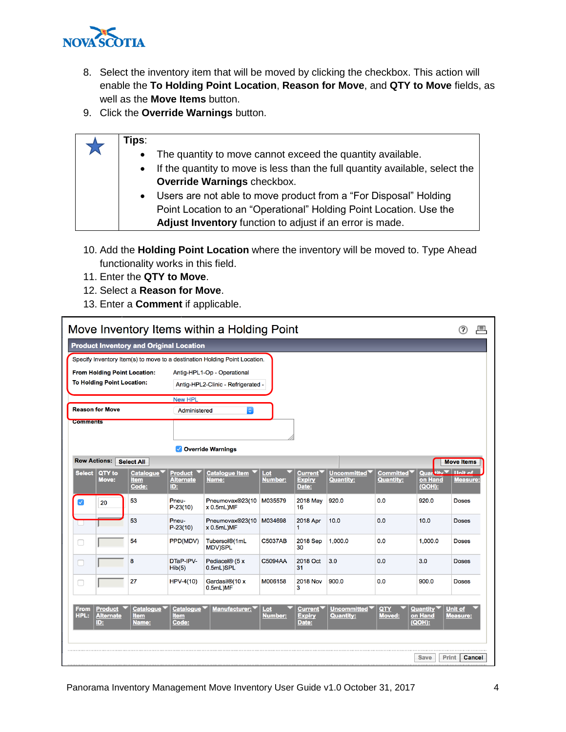

- 8. Select the inventory item that will be moved by clicking the checkbox. This action will enable the **To Holding Point Location**, **Reason for Move**, and **QTY to Move** fields, as well as the **Move Items** button.
- 9. Click the **Override Warnings** button.

| Tips:     |                                                                              |
|-----------|------------------------------------------------------------------------------|
| $\bullet$ | The quantity to move cannot exceed the quantity available.                   |
| $\bullet$ | If the quantity to move is less than the full quantity available, select the |
|           | Override Warnings checkbox.                                                  |
| $\bullet$ | Users are not able to move product from a "For Disposal" Holding             |
|           | Point Location to an "Operational" Holding Point Location. Use the           |
|           | Adjust Inventory function to adjust if an error is made.                     |

- 10. Add the **Holding Point Location** where the inventory will be moved to. Type Ahead functionality works in this field.
- 11. Enter the **QTY to Move**.
- 12. Select a **Reason for Move**.
- 13. Enter a **Comment** if applicable.

|                      |                                   |                                                |                                           | Move Inventory Items within a Holding Point                                |                |                                   |                                 |                                      |                                           |                        |
|----------------------|-----------------------------------|------------------------------------------------|-------------------------------------------|----------------------------------------------------------------------------|----------------|-----------------------------------|---------------------------------|--------------------------------------|-------------------------------------------|------------------------|
|                      |                                   | <b>Product Inventory and Original Location</b> |                                           |                                                                            |                |                                   |                                 |                                      |                                           |                        |
|                      |                                   |                                                |                                           | Specify Inventory Item(s) to move to a destination Holding Point Location. |                |                                   |                                 |                                      |                                           |                        |
|                      | <b>To Holding Point Location:</b> | From Holding Point Location:                   |                                           |                                                                            |                |                                   |                                 |                                      |                                           |                        |
|                      |                                   |                                                | <b>New HPL</b>                            |                                                                            |                |                                   |                                 |                                      |                                           |                        |
|                      | <b>Reason for Move</b>            |                                                | Administered                              | $ \hat{\mathbf{v}} $                                                       |                |                                   |                                 |                                      |                                           |                        |
| <b>Comments</b>      |                                   |                                                |                                           |                                                                            |                |                                   |                                 |                                      |                                           |                        |
|                      |                                   |                                                |                                           |                                                                            |                |                                   |                                 |                                      |                                           |                        |
|                      |                                   |                                                |                                           | Override Warnings                                                          |                |                                   |                                 |                                      |                                           |                        |
| <b>Row Actions:</b>  |                                   | <b>Select All</b>                              |                                           |                                                                            |                |                                   |                                 |                                      |                                           | <b>Move Items</b>      |
| <b>Select</b>        | QTY to<br><b>Move:</b>            | Catalogue<br><b>Item</b><br>Code:              | <b>Product</b><br><b>Alternate</b><br>ID: | <b>Catalogue Item</b><br>Name:                                             | Lot<br>Number: | Current<br><b>Expiry</b><br>Date: | Uncommitted<br><b>Quantity:</b> | <b>Committed</b><br><b>Quantity:</b> | Quartify ▼   Unit of<br>on Hand<br>(QOH): | <b>Measure:</b>        |
| $\blacktriangledown$ | 20                                | 53                                             | Pneu-<br>$P-23(10)$                       | Pneumovax®23(10<br>x 0.5mL)MF                                              | M035579        | <b>2018 May</b><br>16             | 920.0                           | 0.0                                  | 920.0                                     | <b>Doses</b>           |
| a a s                |                                   | 53                                             | Pneu-<br>$P-23(10)$                       | Pneumovax®23(10<br>$x$ 0.5mL)MF                                            | M034698        | 2018 Apr<br>1                     | 10.0                            | 0.0                                  | 10.0                                      | <b>Doses</b>           |
|                      |                                   | 54                                             | PPD(MDV)                                  | Tubersol®(1mL<br><b>MDV)SPL</b>                                            | <b>C5037AB</b> | 2018 Sep<br>30                    | 1.000.0                         | 0.0                                  | 1,000.0                                   | <b>Doses</b>           |
|                      |                                   | 8                                              | DTaP-IPV-<br>Hib(5)                       | Pediacel® (5 x<br>0.5mL)SPL                                                | C5094AA        | 2018 Oct<br>31                    | 3.0                             | 0.0                                  | 3.0                                       | <b>Doses</b>           |
|                      |                                   | 27                                             | HPV-4(10)                                 | Gardasil®(10 x<br>0.5mL)MF                                                 | M006158        | <b>2018 Nov</b><br>3              | 900.0                           | 0.0                                  | 900.0                                     | <b>Doses</b>           |
| <b>From</b>          | <b>Product</b>                    | <b>Catalogue</b>                               | <b>Catalogue</b>                          | Manufacturer:                                                              | Lot            | Current`                          | Uncommitted T                   | QTY                                  | Quantity`                                 | <b>Unit of</b>         |
| HPL:                 | <b>Alternate</b><br>ID:           | <b>Item</b><br>Name:                           | Item<br><u>Code:</u>                      |                                                                            | <b>Number:</b> | <b>Expiry</b><br>Date:            | <b>Quantity:</b>                | <b>Moved:</b>                        | on Hand<br>(QOH):                         | <b>Measure:</b>        |
|                      |                                   |                                                |                                           |                                                                            |                |                                   |                                 |                                      |                                           |                        |
|                      |                                   |                                                |                                           |                                                                            |                |                                   |                                 |                                      | Save                                      | Print<br><b>Cancel</b> |